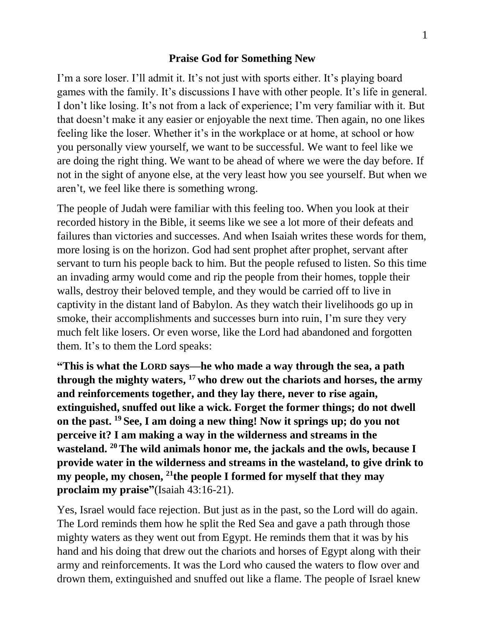## **Praise God for Something New**

I'm a sore loser. I'll admit it. It's not just with sports either. It's playing board games with the family. It's discussions I have with other people. It's life in general. I don't like losing. It's not from a lack of experience; I'm very familiar with it. But that doesn't make it any easier or enjoyable the next time. Then again, no one likes feeling like the loser. Whether it's in the workplace or at home, at school or how you personally view yourself, we want to be successful. We want to feel like we are doing the right thing. We want to be ahead of where we were the day before. If not in the sight of anyone else, at the very least how you see yourself. But when we aren't, we feel like there is something wrong.

The people of Judah were familiar with this feeling too. When you look at their recorded history in the Bible, it seems like we see a lot more of their defeats and failures than victories and successes. And when Isaiah writes these words for them, more losing is on the horizon. God had sent prophet after prophet, servant after servant to turn his people back to him. But the people refused to listen. So this time an invading army would come and rip the people from their homes, topple their walls, destroy their beloved temple, and they would be carried off to live in captivity in the distant land of Babylon. As they watch their livelihoods go up in smoke, their accomplishments and successes burn into ruin, I'm sure they very much felt like losers. Or even worse, like the Lord had abandoned and forgotten them. It's to them the Lord speaks:

**"This is what the LORD says—he who made a way through the sea, a path through the mighty waters, <sup>17</sup> who drew out the chariots and horses, the army and reinforcements together, and they lay there, never to rise again, extinguished, snuffed out like a wick. Forget the former things; do not dwell on the past. <sup>19</sup> See, I am doing a new thing! Now it springs up; do you not perceive it? I am making a way in the wilderness and streams in the wasteland. <sup>20</sup>The wild animals honor me, the jackals and the owls, because I provide water in the wilderness and streams in the wasteland, to give drink to my people, my chosen, <sup>21</sup>the people I formed for myself that they may proclaim my praise"**(Isaiah 43:16-21).

Yes, Israel would face rejection. But just as in the past, so the Lord will do again. The Lord reminds them how he split the Red Sea and gave a path through those mighty waters as they went out from Egypt. He reminds them that it was by his hand and his doing that drew out the chariots and horses of Egypt along with their army and reinforcements. It was the Lord who caused the waters to flow over and drown them, extinguished and snuffed out like a flame. The people of Israel knew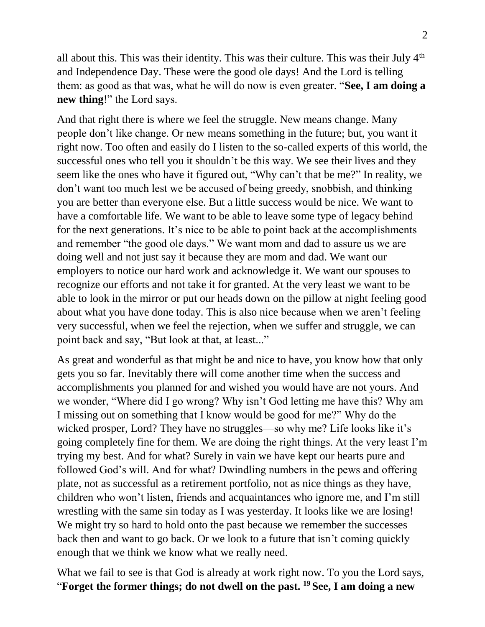all about this. This was their identity. This was their culture. This was their July 4<sup>th</sup> and Independence Day. These were the good ole days! And the Lord is telling them: as good as that was, what he will do now is even greater. "**See, I am doing a new thing**!" the Lord says.

And that right there is where we feel the struggle. New means change. Many people don't like change. Or new means something in the future; but, you want it right now. Too often and easily do I listen to the so-called experts of this world, the successful ones who tell you it shouldn't be this way. We see their lives and they seem like the ones who have it figured out, "Why can't that be me?" In reality, we don't want too much lest we be accused of being greedy, snobbish, and thinking you are better than everyone else. But a little success would be nice. We want to have a comfortable life. We want to be able to leave some type of legacy behind for the next generations. It's nice to be able to point back at the accomplishments and remember "the good ole days." We want mom and dad to assure us we are doing well and not just say it because they are mom and dad. We want our employers to notice our hard work and acknowledge it. We want our spouses to recognize our efforts and not take it for granted. At the very least we want to be able to look in the mirror or put our heads down on the pillow at night feeling good about what you have done today. This is also nice because when we aren't feeling very successful, when we feel the rejection, when we suffer and struggle, we can point back and say, "But look at that, at least..."

As great and wonderful as that might be and nice to have, you know how that only gets you so far. Inevitably there will come another time when the success and accomplishments you planned for and wished you would have are not yours. And we wonder, "Where did I go wrong? Why isn't God letting me have this? Why am I missing out on something that I know would be good for me?" Why do the wicked prosper, Lord? They have no struggles—so why me? Life looks like it's going completely fine for them. We are doing the right things. At the very least I'm trying my best. And for what? Surely in vain we have kept our hearts pure and followed God's will. And for what? Dwindling numbers in the pews and offering plate, not as successful as a retirement portfolio, not as nice things as they have, children who won't listen, friends and acquaintances who ignore me, and I'm still wrestling with the same sin today as I was yesterday. It looks like we are losing! We might try so hard to hold onto the past because we remember the successes back then and want to go back. Or we look to a future that isn't coming quickly enough that we think we know what we really need.

What we fail to see is that God is already at work right now. To you the Lord says, "**Forget the former things; do not dwell on the past. <sup>19</sup> See, I am doing a new**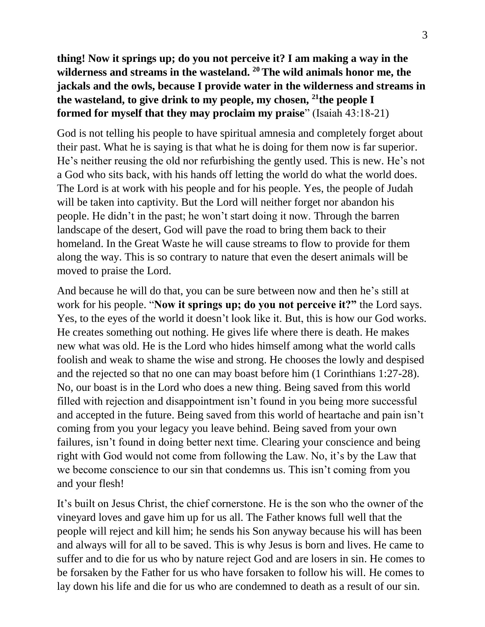**thing! Now it springs up; do you not perceive it? I am making a way in the wilderness and streams in the wasteland. <sup>20</sup>The wild animals honor me, the jackals and the owls, because I provide water in the wilderness and streams in the wasteland, to give drink to my people, my chosen, <sup>21</sup>the people I formed for myself that they may proclaim my praise**" (Isaiah 43:18-21)

God is not telling his people to have spiritual amnesia and completely forget about their past. What he is saying is that what he is doing for them now is far superior. He's neither reusing the old nor refurbishing the gently used. This is new. He's not a God who sits back, with his hands off letting the world do what the world does. The Lord is at work with his people and for his people. Yes, the people of Judah will be taken into captivity. But the Lord will neither forget nor abandon his people. He didn't in the past; he won't start doing it now. Through the barren landscape of the desert, God will pave the road to bring them back to their homeland. In the Great Waste he will cause streams to flow to provide for them along the way. This is so contrary to nature that even the desert animals will be moved to praise the Lord.

And because he will do that, you can be sure between now and then he's still at work for his people. "**Now it springs up; do you not perceive it?"** the Lord says. Yes, to the eyes of the world it doesn't look like it. But, this is how our God works. He creates something out nothing. He gives life where there is death. He makes new what was old. He is the Lord who hides himself among what the world calls foolish and weak to shame the wise and strong. He chooses the lowly and despised and the rejected so that no one can may boast before him (1 Corinthians 1:27-28). No, our boast is in the Lord who does a new thing. Being saved from this world filled with rejection and disappointment isn't found in you being more successful and accepted in the future. Being saved from this world of heartache and pain isn't coming from you your legacy you leave behind. Being saved from your own failures, isn't found in doing better next time. Clearing your conscience and being right with God would not come from following the Law. No, it's by the Law that we become conscience to our sin that condemns us. This isn't coming from you and your flesh!

It's built on Jesus Christ, the chief cornerstone. He is the son who the owner of the vineyard loves and gave him up for us all. The Father knows full well that the people will reject and kill him; he sends his Son anyway because his will has been and always will for all to be saved. This is why Jesus is born and lives. He came to suffer and to die for us who by nature reject God and are losers in sin. He comes to be forsaken by the Father for us who have forsaken to follow his will. He comes to lay down his life and die for us who are condemned to death as a result of our sin.